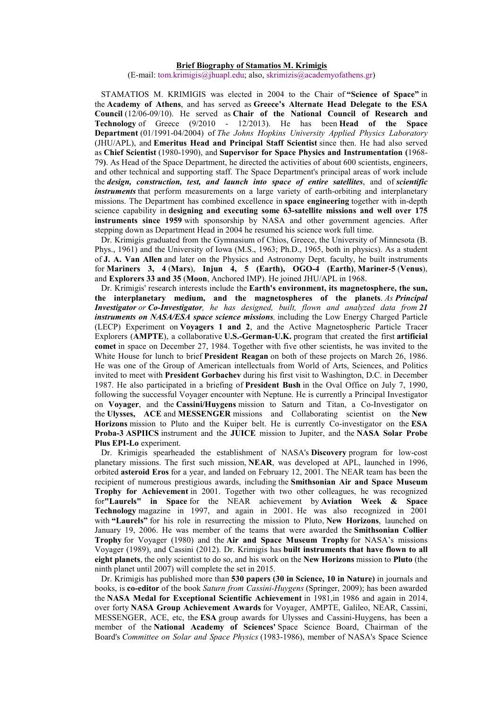## **Brief Biography of Stamatios M. Krimigis**

(E-mail: tom.krimigis@jhuapl.edu; also, skrimizis@academyofathens.gr)

 STAMATIOS M. KRIMIGIS was elected in 2004 to the Chair of **"Science of Space"** in the **Academy of Athens**, and has served as **Greece's Alternate Head Delegate to the ESA Council** (12/06-09/10). He served as **Chair of the National Council of Research and Technology** of Greece (9/2010 - 12/2013). He has been **Head of the Space Department** (01/1991-04/2004) of *The Johns Hopkins University Applied Physics Laboratory*  (JHU/APL), and **Emeritus Head and Principal Staff Scientist** since then. He had also served as **Chief Scientist** (1980-1990), and **Supervisor for Space Physics and Instrumentation (**1968- 79**)**. As Head of the Space Department, he directed the activities of about 600 scientists, engineers, and other technical and supporting staff. The Space Department's principal areas of work include the *design, construction, test, and launch into space of entire satellites*, and of *scientific instruments* that perform measurements on a large variety of earth-orbiting and interplanetary missions. The Department has combined excellence in **space engineering** together with in-depth science capability in **designing and executing some 63-satellite missions and well over 175 instruments since 1959** with sponsorship by NASA and other government agencies. After stepping down as Department Head in 2004 he resumed his science work full time.

 Dr. Krimigis graduated from the Gymnasium of Chios, Greece, the University of Minnesota (B. Phys., 1961) and the University of Iowa (M.S., 1963; Ph.D., 1965, both in physics). As a student of **J. A. Van Allen** and later on the Physics and Astronomy Dept. faculty, he built instruments for **Mariners 3, 4** (**Mars**), **Injun 4, 5 (Earth), OGO-4 (Earth)**, **Mariner-5** (**Venus**), and **Explorers 33 and 35** (**Moon**, Anchored IMP). He joined JHU/APL in 1968.

 Dr. Krimigis' research interests include the **Earth's environment, its magnetosphere, the sun, the interplanetary medium, and the magnetospheres of the planets**. *As Principal Investigator or Co-Investigator, he has designed, built, flown and analyzed data from 21 instruments on NASA/ESA space science missions,* including the Low Energy Charged Particle (LECP) Experiment on **Voyagers 1 and 2**, and the Active Magnetospheric Particle Tracer Explorers (**AMPTE**), a collaborative **U.S.-German-U.K.** program that created the first **artificial comet** in space on December 27, 1984. Together with five other scientists, he was invited to the White House for lunch to brief **President Reagan** on both of these projects on March 26, 1986. He was one of the Group of American intellectuals from World of Arts, Sciences, and Politics invited to meet with **President Gorbachev** during his first visit to Washington, D.C. in December 1987. He also participated in a briefing of **President Bush** in the Oval Office on July 7, 1990, following the successful Voyager encounter with Neptune. He is currently a Principal Investigator on **Voyager**, and the **Cassini/Huygens** mission to Saturn and Titan, a Co-Investigator on the **Ulysses, ACE** and **MESSENGER** missions and Collaborating scientist on the **New Horizons** mission to Pluto and the Kuiper belt. He is currently Co-investigator on the **ESA Proba-3 ASPIICS** instrument and the **JUICE** mission to Jupiter, and the **NASA Solar Probe Plus EPI-Lo** experiment.

 Dr. Krimigis spearheaded the establishment of NASA's **Discovery** program for low-cost planetary missions. The first such mission, **NEAR**, was developed at APL, launched in 1996, orbited **asteroid Eros** for a year, and landed on February 12, 2001. The NEAR team has been the recipient of numerous prestigious awards, including the **Smithsonian Air and Space Museum Trophy for Achievement** in 2001. Together with two other colleagues, he was recognized for**"Laurels" in Space** for the NEAR achievement by **Aviation Week & Space Technology** magazine in 1997, and again in 2001. He was also recognized in 2001 with **"Laurels"** for his role in resurrecting the mission to Pluto, **New Horizons**, launched on January 19, 2006. He was member of the teams that were awarded the **Smithsonian Collier Trophy** for Voyager (1980) and the **Air and Space Museum Trophy** for NASA's missions Voyager (1989), and Cassini (2012). Dr. Krimigis has **built instruments that have flown to all eight planets**, the only scientist to do so, and his work on the **New Horizons** mission to **Pluto** (the ninth planet until 2007) will complete the set in 2015.

 Dr. Krimigis has published more than **530 papers (30 in Science, 10 in Nature)** in journals and books, is **co-editor** of the book *Saturn from Cassini-Huygens* (Springer, 2009); has been awarded the **NASA Medal for Exceptional Scientific Achievement** in 1981,in 1986 and again in 2014, over forty **NASA Group Achievement Awards** for Voyager, AMPTE, Galileo, NEAR, Cassini, MESSENGER, ACE, etc, the **ESA** group awards for Ulysses and Cassini-Huygens, has been a member of the **National Academy of Sciences'** Space Science Board, Chairman of the Board's *Committee on Solar and Space Physics* (1983-1986), member of NASA's Space Science